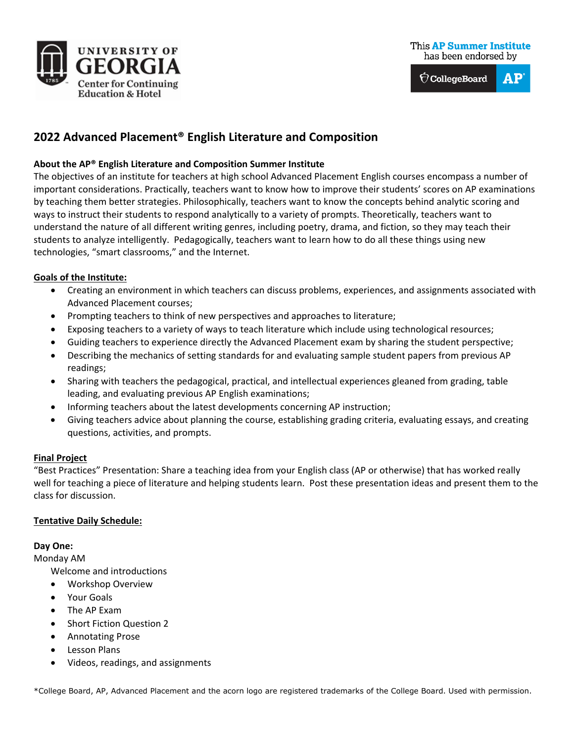



# **2022 Advanced Placement® English Literature and Composition**

### **About the AP® English Literature and Composition Summer Institute**

The objectives of an institute for teachers at high school Advanced Placement English courses encompass a number of important considerations. Practically, teachers want to know how to improve their students' scores on AP examinations by teaching them better strategies. Philosophically, teachers want to know the concepts behind analytic scoring and ways to instruct their students to respond analytically to a variety of prompts. Theoretically, teachers want to understand the nature of all different writing genres, including poetry, drama, and fiction, so they may teach their students to analyze intelligently. Pedagogically, teachers want to learn how to do all these things using new technologies, "smart classrooms," and the Internet.

### **Goals of the Institute:**

- Creating an environment in which teachers can discuss problems, experiences, and assignments associated with Advanced Placement courses;
- Prompting teachers to think of new perspectives and approaches to literature;
- Exposing teachers to a variety of ways to teach literature which include using technological resources;
- Guiding teachers to experience directly the Advanced Placement exam by sharing the student perspective;
- Describing the mechanics of setting standards for and evaluating sample student papers from previous AP readings;
- Sharing with teachers the pedagogical, practical, and intellectual experiences gleaned from grading, table leading, and evaluating previous AP English examinations;
- Informing teachers about the latest developments concerning AP instruction;
- Giving teachers advice about planning the course, establishing grading criteria, evaluating essays, and creating questions, activities, and prompts.

#### **Final Project**

"Best Practices" Presentation: Share a teaching idea from your English class (AP or otherwise) that has worked really well for teaching a piece of literature and helping students learn. Post these presentation ideas and present them to the class for discussion.

#### **Tentative Daily Schedule:**

#### **Day One:**

#### Monday AM

Welcome and introductions

- Workshop Overview
- Your Goals
- The AP Exam
- Short Fiction Question 2
- Annotating Prose
- Lesson Plans
- Videos, readings, and assignments

\*College Board, AP, Advanced Placement and the acorn logo are registered trademarks of the College Board. Used with permission.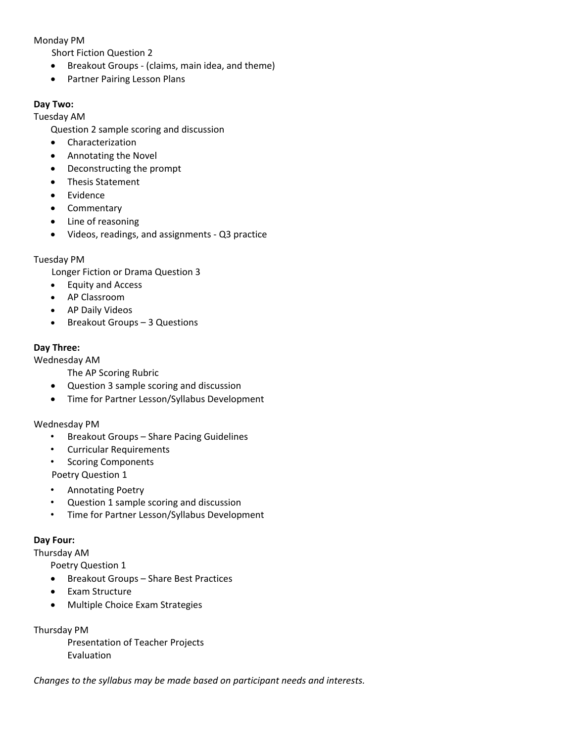### Monday PM

Short Fiction Question 2

- Breakout Groups (claims, main idea, and theme)
- Partner Pairing Lesson Plans

### **Day Two:**

Tuesday AM

Question 2 sample scoring and discussion

- Characterization
- Annotating the Novel
- Deconstructing the prompt
- Thesis Statement
- **Evidence**
- Commentary
- Line of reasoning
- Videos, readings, and assignments Q3 practice

### Tuesday PM

Longer Fiction or Drama Question 3

- Equity and Access
- AP Classroom
- AP Daily Videos
- Breakout Groups 3 Questions

# **Day Three:**

Wednesday AM

The AP Scoring Rubric

- Question 3 sample scoring and discussion
- Time for Partner Lesson/Syllabus Development

### Wednesday PM

- Breakout Groups Share Pacing Guidelines
- Curricular Requirements
- Scoring Components

Poetry Question 1

- Annotating Poetry
- Question 1 sample scoring and discussion
- Time for Partner Lesson/Syllabus Development

# **Day Four:**

Thursday AM

Poetry Question 1

- Breakout Groups Share Best Practices
- Exam Structure
- Multiple Choice Exam Strategies

Thursday PM

Presentation of Teacher Projects Evaluation

*Changes to the syllabus may be made based on participant needs and interests.*